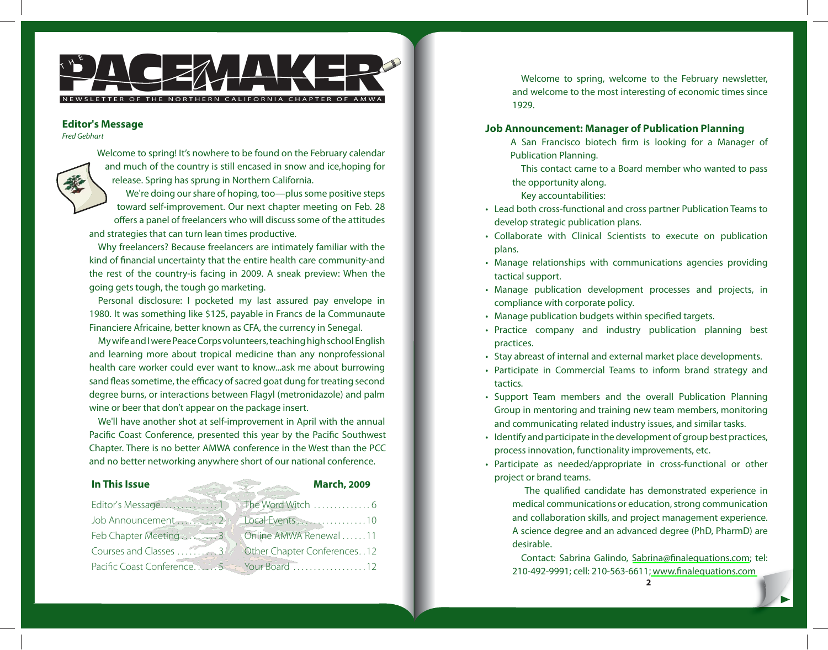

#### **Editor's Message**

Fred Gebhart

Welcome to spring! It's nowhere to be found on the February calendar and much of the country is still encased in snow and ice,hoping for release. Spring has sprung in Northern California.

We're doing our share of hoping, too—plus some positive steps toward self-improvement. Our next chapter meeting on Feb. 28 offers a panel of freelancers who will discuss some of the attitudes and strategies that can turn lean times productive.

Why freelancers? Because freelancers are intimately familiar with the kind of financial uncertainty that the entire health care community-and the rest of the country-is facing in 2009. A sneak preview: When the going gets tough, the tough go marketing.

Personal disclosure: I pocketed my last assured pay envelope in 1980. It was something like \$125, payable in Francs de la Communaute Financiere Africaine, better known as CFA, the currency in Senegal.

My wife and I were Peace Corps volunteers, teaching high school English and learning more about tropical medicine than any nonprofessional health care worker could ever want to know...ask me about burrowing sand fleas sometime, the efficacy of sacred goat dung for treating second degree burns, or interactions between Flagyl (metronidazole) and palm wine or beer that don't appear on the package insert.

We'll have another shot at self-improvement in April with the annual Pacific Coast Conference, presented this year by the Pacific Southwest Chapter. There is no better AMWA conference in the West than the PCC and no better networking anywhere short of our national conference.

#### Editor's Message . . . . . . . . . . . . . . 1 Job Announcement . . . . . . . . 2 Feb Chapter Meeting . . . . . . . 3 Courses and Classes . . . . . . . . . . 3 Pacific Coast Conference . . . . . 5 See Your Board . . . . . . . . . . . . . . . 12 The Word Witch . . . . . . . . . . . . 6 Local Events .....................10 Online AMWA Renewal . . . . . . 11 Other Chapter Conferences . . 12 **In This Issue March, 2009**

Welcome to spring, welcome to the February newsletter, and welcome to the most interesting of economic times since 1929.

# **Job Announcement: Manager of Publication Planning**

A San Francisco biotech firm is looking for a Manager of Publication Planning.

This contact came to a Board member who wanted to pass the opportunity along.

Key accountabilities:

- Lead both cross-functional and cross partner Publication Teams to develop strategic publication plans.
- Collaborate with Clinical Scientists to execute on publication plans.
- Manage relationships with communications agencies providing tactical support.
- Manage publication development processes and projects, in compliance with corporate policy.
- Manage publication budgets within specified targets.
- Practice company and industry publication planning best practices.
- Stay abreast of internal and external market place developments.
- Participate in Commercial Teams to inform brand strategy and tactics.
- Support Team members and the overall Publication Planning Group in mentoring and training new team members, monitoring and communicating related industry issues, and similar tasks.
- Identify and participate in the development of group best practices, process innovation, functionality improvements, etc.
- Participate as needed/appropriate in cross-functional or other project or brand teams.

The qualified candidate has demonstrated experience in medical communications or education, strong communication and collaboration skills, and project management experience. A science degree and an advanced degree (PhD, PharmD) are desirable.

Contact: Sabrina Galindo, Sabrina@finalequations.com; tel: 210-492-9991; cell: 210-563-6611; www.finalequations.com

**2**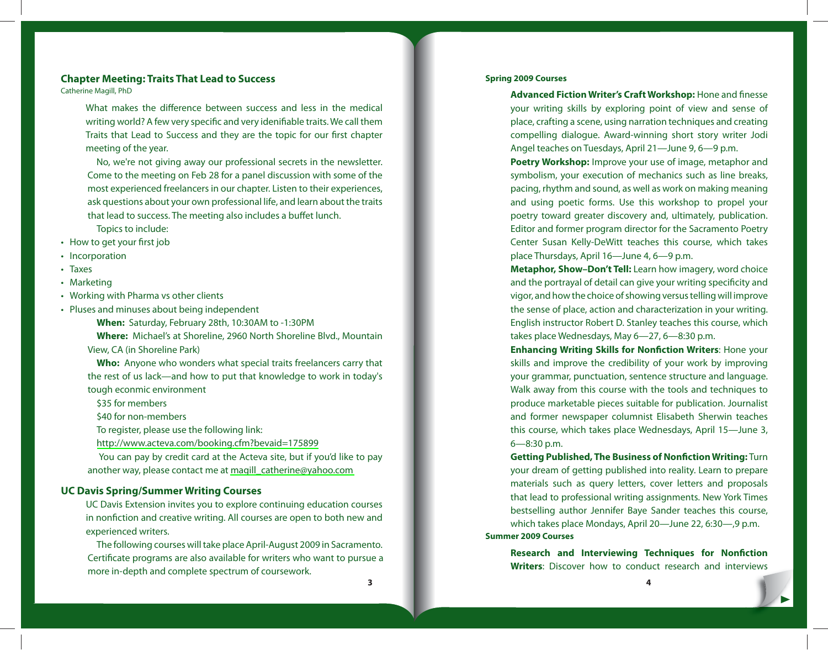# **Chapter Meeting: Traits That Lead to Success**

Catherine Magill, PhD

What makes the difference between success and less in the medical writing world? A few very specific and very idenifiable traits. We call them Traits that Lead to Success and they are the topic for our first chapter meeting of the year.

No, we're not giving away our professional secrets in the newsletter. Come to the meeting on Feb 28 for a panel discussion with some of the most experienced freelancers in our chapter. Listen to their experiences, ask questions about your own professional life, and learn about the traits that lead to success. The meeting also includes a buffet lunch.

- Topics to include:
- How to get your first job
- Incorporation
- Taxes •
- Marketing
- Working with Pharma vs other clients •
- Pluses and minuses about being independent •

**When:** Saturday, February 28th, 10:30AM to -1:30PM

**Where:** Michael's at Shoreline, 2960 North Shoreline Blvd., Mountain View, CA (in Shoreline Park)

**Who:** Anyone who wonders what special traits freelancers carry that the rest of us lack—and how to put that knowledge to work in today's tough econmic environment

\$35 for members

\$40 for non-members

To register, please use the following link:

<http://www.acteva.com/booking.cfm?bevaid=175899>

 You can pay by credit card at the Acteva site, but if you'd like to pay another way, please contact me at [magill\\_catherine@yahoo.com](mailto:magill_catherine@yahoo.com)

# **UC Davis Spring/Summer Writing Courses**

UC Davis Extension invites you to explore continuing education courses in nonfiction and creative writing. All courses are open to both new and experienced writers.

The following courses will take place April-August 2009 in Sacramento. Certificate programs are also available for writers who want to pursue a more in-depth and complete spectrum of coursework.

#### **Spring 2009 Courses**

Advanced Fiction Writer's Craft Workshop: Hone and finesse your writing skills by exploring point of view and sense of place, crafting a scene, using narration techniques and creating compelling dialogue. Award-winning short story writer Jodi Angel teaches on Tuesdays, April 21—June 9, 6—9 p.m.

**Poetry Workshop:** Improve your use of image, metaphor and symbolism, your execution of mechanics such as line breaks, pacing, rhythm and sound, as well as work on making meaning and using poetic forms. Use this workshop to propel your poetry toward greater discovery and, ultimately, publication. Editor and former program director for the Sacramento Poetry Center Susan Kelly-DeWitt teaches this course, which takes place Thursdays, April 16—June 4, 6—9 p.m.

**Metaphor, Show–Don't Tell:** Learn how imagery, word choice and the portrayal of detail can give your writing specificity and vigor, and how the choice of showing versus telling will improve the sense of place, action and characterization in your writing. English instructor Robert D. Stanley teaches this course, which takes place Wednesdays, May 6—27, 6—8:30 p.m.

**Enhancing Writing Skills for Nonfiction Writers: Hone your** skills and improve the credibility of your work by improving your grammar, punctuation, sentence structure and language. Walk away from this course with the tools and techniques to produce marketable pieces suitable for publication. Journalist and former newspaper columnist Elisabeth Sherwin teaches this course, which takes place Wednesdays, April 15—June 3, 6—8:30 p.m.

**Getting Published, The Business of Nonfiction Writing: Turn** your dream of getting published into reality. Learn to prepare materials such as query letters, cover letters and proposals that lead to professional writing assignments. New York Times bestselling author Jennifer Baye Sander teaches this course, which takes place Mondays, April 20—June 22, 6:30—,9 p.m. **Summer 2009 Courses**

**Research and Interviewing Techniques for Nonfiction Writers**: Discover how to conduct research and interviews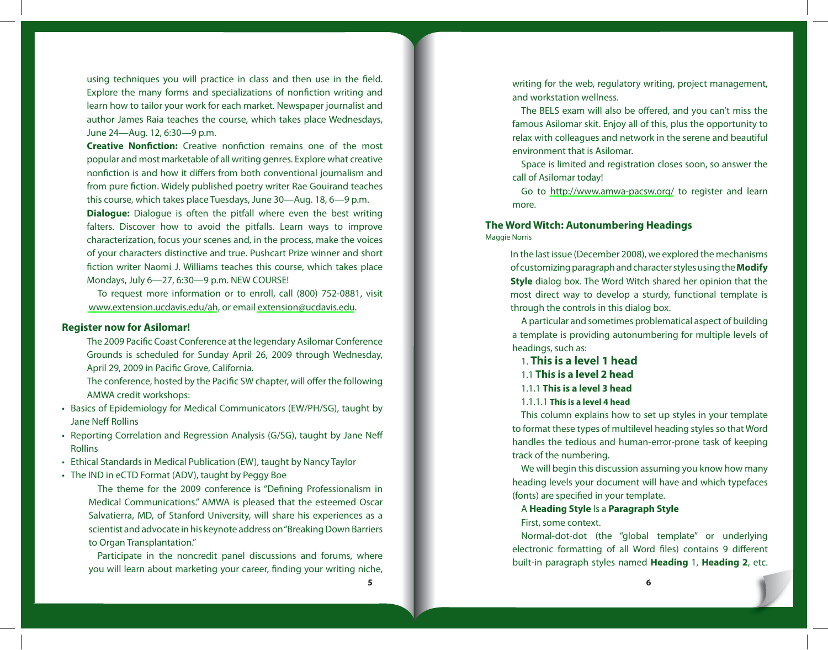using techniques you will practice in class and then use in the field. Explore the many forms and specializations of nonfiction writing and learn how to tailor your work for each market. Newspaper journalist and author James Raia teaches the course, which takes place Wednesdays, June 24—Aug. 12, 6:30—9 p.m.

**Creative Nonfiction:** Creative nonfiction remains one of the most popular and most marketable of all writing genres. Explore what creative nonfiction is and how it differs from both conventional journalism and from pure fiction. Widely published poetry writer Rae Gouirand teaches this course, which takes place Tuesdays, June 30—Aug. 18, 6—9 p.m.

**Dialogue:** Dialogue is often the pitfall where even the best writing falters. Discover how to avoid the pitfalls. Learn ways to improve characterization, focus your scenes and, in the process, make the voices of your characters distinctive and true. Pushcart Prize winner and short fiction writer Naomi J. Williams teaches this course, which takes place Mondays, July 6—27, 6:30—9 p.m. NEW COURSE!

To request more information or to enroll, call (800) 752-0881, visit <www.extension.ucdavis.edu/ah>, or email [extension@ucdavis.edu](mailto:extension@ucdavis.edu).

# **Register now for Asilomar!**

The 2009 Pacific Coast Conference at the legendary Asilomar Conference Grounds is scheduled for Sunday April 26, 2009 through Wednesday, April 29, 2009 in Pacific Grove, California.

The conference, hosted by the Pacific SW chapter, will offer the following AMWA credit workshops:

- Basics of Epidemiology for Medical Communicators (EW/PH/SG), taught by Jane Neff Rollins
- Reporting Correlation and Regression Analysis (G/SG), taught by Jane Neff Rollins
- Ethical Standards in Medical Publication (EW), taught by Nancy Taylor •
- The IND in eCTD Format (ADV), taught by Peggy Boe •

The theme for the 2009 conference is "Defining Professionalism in Medical Communications." AMWA is pleased that the esteemed Oscar Salvatierra, MD, of Stanford University, will share his experiences as a scientist and advocate in his keynote address on "Breaking Down Barriers to Organ Transplantation."

Participate in the noncredit panel discussions and forums, where you will learn about marketing your career, finding your writing niche,

writing for the web, regulatory writing, project management, and workstation wellness.

The BELS exam will also be offered, and you can't miss the famous Asilomar skit. Enjoy all of this, plus the opportunity to relax with colleagues and network in the serene and beautiful environment that is Asilomar.

Space is limited and registration closes soon, so answer the call of Asilomar today!

Go to <http://www.amwa-pacsw.org/>to register and learn more.

# **The Word Witch: Autonumbering Headings** Maggie Norris

In the last issue (December 2008), we explored the mechanisms of customizing paragraph and character styles using the **Modify Style** dialog box. The Word Witch shared her opinion that the most direct way to develop a sturdy, functional template is through the controls in this dialog box.

A particular and sometimes problematical aspect of building a template is providing autonumbering for multiple levels of headings, such as:

- 1. **This is a level 1 head**
- 1.1 **This is a level 2 head**
- 1.1.1 **This is a level 3 head**
- 1.1.1.1 **This is a level 4 head**

This column explains how to set up styles in your template to format these types of multilevel heading styles so that Word handles the tedious and human-error-prone task of keeping track of the numbering.

We will begin this discussion assuming you know how many heading levels your document will have and which typefaces (fonts) are specified in your template.

A **Heading Style** Is a **Paragraph Style**

First, some context.

Normal-dot-dot (the "global template" or underlying electronic formatting of all Word files) contains 9 different built-in paragraph styles named **Heading** 1, **Heading 2**, etc.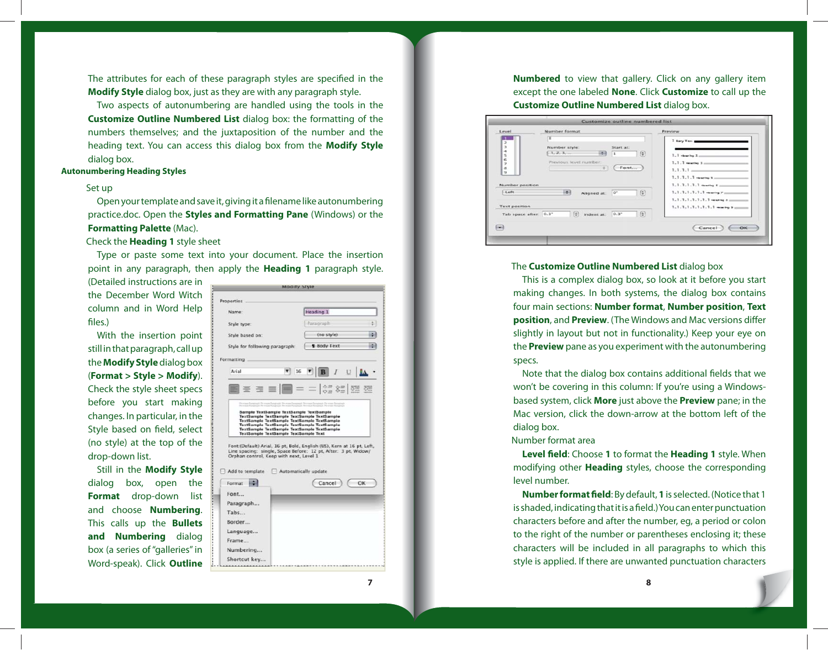The attributes for each of these paragraph styles are specified in the **Modify Style** dialog box, just as they are with any paragraph style.

Two aspects of autonumbering are handled using the tools in the **Customize Outline Numbered List** dialog box: the formatting of the numbers themselves; and the juxtaposition of the number and the heading text. You can access this dialog box from the **Modify Style** dialog box.

### **Autonumbering Heading Styles**

# Set up

Open your template and save it, giving it a filename like autonumbering practice.doc. Open the **Styles and Formatting Pane** (Windows) or the **Formatting Palette** (Mac).

# Check the **Heading 1** style sheet

Type or paste some text into your document. Place the insertion point in any paragraph, then apply the **Heading 1** paragraph style.

(Detailed instructions are in the December Word Witch column and in Word Help files.)

With the insertion point still in that paragraph, call up the **Modify Style** dialog box (**Format > Style > Modify**). Check the style sheet specs before you start making changes. In particular, in the Style based on field, select (no style) at the top of the drop-down list.

Still in the **Modify Style** dialog box, open the **Format** drop-down list and choose **Numbering**. This calls up the **Bullets and Numbering** dialog box (a series of "galleries" in Word-speak). Click **Outline** 

| <b>MOGILY STYIE</b>                                                                                                                                                                                                                                                                           |                      |    |  |  |
|-----------------------------------------------------------------------------------------------------------------------------------------------------------------------------------------------------------------------------------------------------------------------------------------------|----------------------|----|--|--|
| Properties                                                                                                                                                                                                                                                                                    |                      |    |  |  |
| Name:                                                                                                                                                                                                                                                                                         | Heading 1            |    |  |  |
| Style type:                                                                                                                                                                                                                                                                                   | Paragraph            |    |  |  |
| Style based on:                                                                                                                                                                                                                                                                               | (no style)           |    |  |  |
| Style for following paragraph:                                                                                                                                                                                                                                                                | <b>1 Body Text</b>   |    |  |  |
| Formatting                                                                                                                                                                                                                                                                                    |                      |    |  |  |
| Arial                                                                                                                                                                                                                                                                                         |                      |    |  |  |
| $\equiv \equiv \equiv \equiv \equiv - \frac{32}{99} \approx \frac{1}{29}$                                                                                                                                                                                                                     |                      |    |  |  |
|                                                                                                                                                                                                                                                                                               |                      |    |  |  |
| TextSample TextSample TextSample TextSample<br>TextSample TextSample TextSample Text<br>Font:(Default) Arial, 16 pt, Bold, English (US), Kern at 16 pt, Left,<br>Line spacing: single, Space Before: 12 pt, After: 3 pt, Widow/<br>Orphan control, Keep with next, Level 1<br>Add to template | Automatically update |    |  |  |
| Format                                                                                                                                                                                                                                                                                        | Cancel               | OK |  |  |
| Font                                                                                                                                                                                                                                                                                          |                      |    |  |  |
| Paragraph<br>Tabs                                                                                                                                                                                                                                                                             |                      |    |  |  |
| Border                                                                                                                                                                                                                                                                                        |                      |    |  |  |
|                                                                                                                                                                                                                                                                                               |                      |    |  |  |
| Language<br>Frame                                                                                                                                                                                                                                                                             |                      |    |  |  |
| Numbering                                                                                                                                                                                                                                                                                     |                      |    |  |  |
| Shortcut key                                                                                                                                                                                                                                                                                  |                      |    |  |  |
|                                                                                                                                                                                                                                                                                               |                      |    |  |  |
|                                                                                                                                                                                                                                                                                               |                      |    |  |  |

**Numbered** to view that gallery. Click on any gallery item except the one labeled **None**. Click **Customize** to call up the **Customize Outline Numbered List** dialog box.

| Level                     | Number format                                                             | <b>Preview</b>                             |
|---------------------------|---------------------------------------------------------------------------|--------------------------------------------|
| $\overline{z}$            | TK                                                                        | I Bary Test                                |
| ä<br>$\ddot{\phantom{a}}$ | Number style:<br>Start at:                                                |                                            |
| $\frac{5}{6}$             | 6.1, 2, 3,<br>$\vert$ (a)<br>树枝<br>$\vert$ 1                              | $1.1$ -learning $2.1$                      |
| ż                         | Previous fevel number:                                                    | 1.1.1 mearing 2 mm                         |
| s<br>ä                    | Font<br>$\Rightarrow$                                                     | $1, 1, 1, 1 \dots$                         |
|                           |                                                                           | $1.1.1.1.1$ -teacher $s =$                 |
| Number position           |                                                                           | 1.1.1.1.1.1 months E                       |
| Left                      | ia)<br>$\Xi$<br>$O^*$<br>Aligned at:                                      | $1, 1, 1, 1, 1, 1, 1$ . Hencity $r =$      |
|                           |                                                                           | $1, 1, 1, 1, 1, 1, 1, 1, 1$ -leading $b =$ |
| <b>Text position</b>      |                                                                           | 1.1.1.1.1.1.1.1.1 detailed \$ on           |
| Tab space after: 0.3°     | $\left  \cdot \right $<br>$\left  \cdot \right $<br>$0.3^*$<br>Indent at: |                                            |
|                           |                                                                           |                                            |
| $[-1]$                    |                                                                           | ОК<br>Cancel                               |

## The **Customize Outline Numbered List** dialog box

This is a complex dialog box, so look at it before you start making changes. In both systems, the dialog box contains four main sections: **Number format**, **Number position**, **Text position**, and **Preview**. (The Windows and Mac versions differ slightly in layout but not in functionality.) Keep your eye on the **Preview** pane as you experiment with the autonumbering specs.

Note that the dialog box contains additional fields that we won't be covering in this column: If you're using a Windowsbased system, click **More** just above the **Preview** pane; in the Mac version, click the down-arrow at the bottom left of the dialog box.

# Number format area

**Level field:** Choose 1 to format the **Heading 1** style. When modifying other **Heading** styles, choose the corresponding level number.

**Number format field**: By default, 1 is selected. (Notice that 1 is shaded, indicating that it is a field.) You can enter punctuation characters before and after the number, eg, a period or colon to the right of the number or parentheses enclosing it; these characters will be included in all paragraphs to which this style is applied. If there are unwanted punctuation characters

**7 8**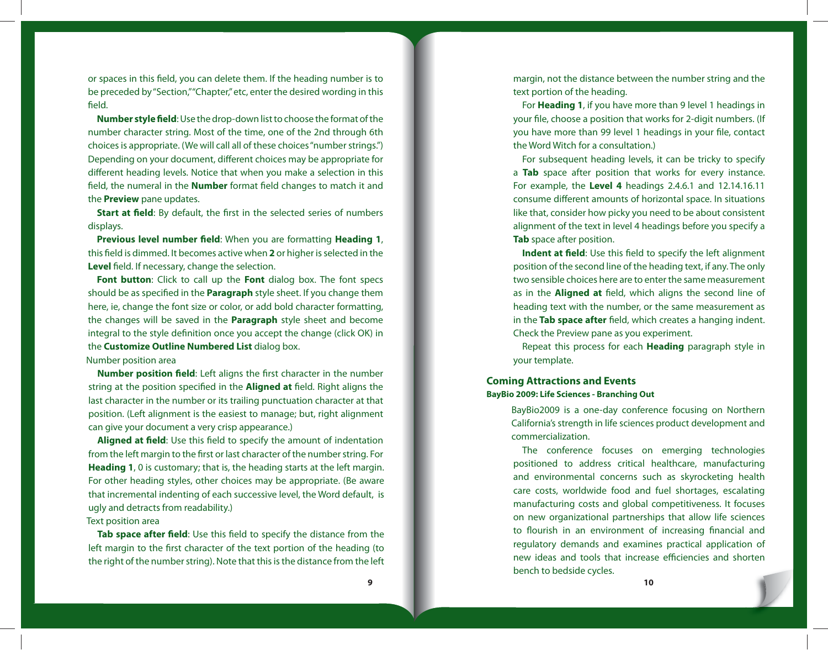or spaces in this field, you can delete them. If the heading number is to be preceded by "Section," "Chapter," etc, enter the desired wording in this field.

**Number style field**: Use the drop-down list to choose the format of the number character string. Most of the time, one of the 2nd through 6th choices is appropriate. (We will call all of these choices "number strings.") Depending on your document, different choices may be appropriate for different heading levels. Notice that when you make a selection in this field, the numeral in the **Number** format field changes to match it and the **Preview** pane updates.

**Start at field:** By default, the first in the selected series of numbers displays.

**Previous level number field:** When you are formatting **Heading 1**, this field is dimmed. It becomes active when 2 or higher is selected in the Level field. If necessary, change the selection.

**Font button**: Click to call up the **Font** dialog box. The font specs should be as specified in the **Paragraph** style sheet. If you change them here, ie, change the font size or color, or add bold character formatting, the changes will be saved in the **Paragraph** style sheet and become integral to the style definition once you accept the change (click OK) in the **Customize Outline Numbered List** dialog box.

# Number position area

**Number position field**: Left aligns the first character in the number string at the position specified in the **Aligned at** field. Right aligns the last character in the number or its trailing punctuation character at that position. (Left alignment is the easiest to manage; but, right alignment can give your document a very crisp appearance.)

**Aligned at field:** Use this field to specify the amount of indentation from the left margin to the first or last character of the number string. For **Heading 1**, 0 is customary; that is, the heading starts at the left margin. For other heading styles, other choices may be appropriate. (Be aware that incremental indenting of each successive level, the Word default, is ugly and detracts from readability.)

Text position area

Tab space after field: Use this field to specify the distance from the left margin to the first character of the text portion of the heading (to the right of the number string). Note that this is the distance from the left margin, not the distance between the number string and the text portion of the heading.

For **Heading 1**, if you have more than 9 level 1 headings in your file, choose a position that works for 2-digit numbers. (If you have more than 99 level 1 headings in your file, contact the Word Witch for a consultation.)

For subsequent heading levels, it can be tricky to specify a **Tab** space after position that works for every instance. For example, the **Level 4** headings 2.4.6.1 and 12.14.16.11 consume different amounts of horizontal space. In situations like that, consider how picky you need to be about consistent alignment of the text in level 4 headings before you specify a **Tab** space after position.

**Indent at field:** Use this field to specify the left alignment position of the second line of the heading text, if any. The only two sensible choices here are to enter the same measurement as in the **Aligned at** field, which aligns the second line of heading text with the number, or the same measurement as in the Tab space after field, which creates a hanging indent. Check the Preview pane as you experiment.

Repeat this process for each **Heading** paragraph style in your template.

# **Coming Attractions and Events BayBio 2009: Life Sciences - Branching Out**

BayBio2009 is a one-day conference focusing on Northern California's strength in life sciences product development and commercialization.

The conference focuses on emerging technologies positioned to address critical healthcare, manufacturing and environmental concerns such as skyrocketing health care costs, worldwide food and fuel shortages, escalating manufacturing costs and global competitiveness. It focuses on new organizational partnerships that allow life sciences to flourish in an environment of increasing financial and regulatory demands and examines practical application of new ideas and tools that increase efficiencies and shorten bench to bedside cycles.